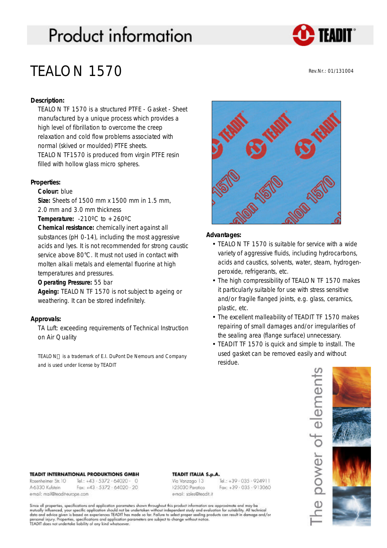# **Product information**



# TEALON 1570

Rev.Nr.: 01/131004

# **Description:**

TEALON TF 1570 is a structured PTFE - Gasket - Sheet manufactured by a unique process which provides a high level of fibrillation to overcome the creep relaxation and cold flow problems associated with normal (skived or moulded) PTFE sheets. TEALON TF1570 is produced from virgin PTFE resin filled with hollow glass micro spheres.

## **Properties:**

## **Colour:** blue

**Size:** Sheets of 1500 mm x 1500 mm in 1.5 mm, 2.0 mm and 3.0 mm thickness

**Temperature:**  $-210^{\circ}$ C to  $+260^{\circ}$ C

**Chemical resistance:** chemically inert against all substances (pH 0-14), including the most aggressive acids and lyes. It is not recommended for strong caustic service above 80°C. It must not used in contact with molten alkali metals and elemental fluorine at high temperatures and pressures.

**Operating Pressure:** 55 bar

**Ageing:** TEALON TF 1570 is not subject to ageing or weathering. It can be stored indefinitely.

# **Approvals:**

TA Luft: exceeding requirements of Technical Instruction on Air Quality

TEALON<sup>™</sup> is a trademark of E.I. DuPont De Nemours and Company and is used under license by TEADIT



## **Advantages:**

- TEALON TF 1570 is suitable for service with a wide variety of aggressive fluids, including hydrocarbons, acids and caustics, solvents, water, steam, hydrogenperoxide, refrigerants, etc.
- The high compressibility of TEALON TF 1570 makes it particularly suitable for use with stress sensitive and/or fragile flanged joints, e.g. glass, ceramics, plastic, etc.
- The excellent malleability of TEADIT TF 1570 makes repairing of small damages and/or irregularities of the sealing area (flange surface) unnecessary.
- TEADIT TF 1570 is quick and simple to install. The used gasket can be removed easily and without residue.



#### **TEADIT INTERNATIONAL PRODUKTIONS GMBH**

| Rosenheimer Str. 10           | Tel.: +43 - 5372 - 64020 - 0               |
|-------------------------------|--------------------------------------------|
| A-6330 Kulstein               | Fax: $+43 \cdot 5372 \cdot 64020 \cdot 20$ |
| email: mail@teadit-europe.com |                                            |

#### **TEADIT ITALIA S.p.A.**

Via Vanzago 13 125030 Paratico email: sales@teadit.it

Tel.: +39 - 035 - 924911  $Fax: +39.035.913060$ 

Since all properties, specifications and application parameters shown throughout this product information are approximate and may be<br>mutually influenced, your specific application should not be undertaken without independe